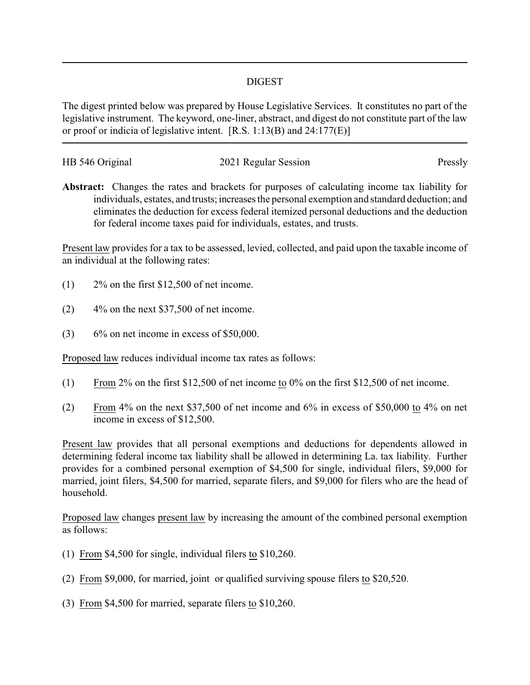#### DIGEST

The digest printed below was prepared by House Legislative Services. It constitutes no part of the legislative instrument. The keyword, one-liner, abstract, and digest do not constitute part of the law or proof or indicia of legislative intent. [R.S. 1:13(B) and 24:177(E)]

| HB 546 Original | 2021 Regular Session | Pressly |
|-----------------|----------------------|---------|
|                 |                      |         |

**Abstract:** Changes the rates and brackets for purposes of calculating income tax liability for individuals, estates, and trusts; increases the personal exemption and standard deduction; and eliminates the deduction for excess federal itemized personal deductions and the deduction for federal income taxes paid for individuals, estates, and trusts.

Present law provides for a tax to be assessed, levied, collected, and paid upon the taxable income of an individual at the following rates:

- (1) 2% on the first \$12,500 of net income.
- $(2)$  4% on the next \$37,500 of net income.
- $(3)$  6% on net income in excess of \$50,000.

Proposed law reduces individual income tax rates as follows:

- (1) From 2% on the first \$12,500 of net income to 0% on the first \$12,500 of net income.
- (2) From 4% on the next \$37,500 of net income and 6% in excess of \$50,000 to 4% on net income in excess of \$12,500.

Present law provides that all personal exemptions and deductions for dependents allowed in determining federal income tax liability shall be allowed in determining La. tax liability. Further provides for a combined personal exemption of \$4,500 for single, individual filers, \$9,000 for married, joint filers, \$4,500 for married, separate filers, and \$9,000 for filers who are the head of household.

Proposed law changes present law by increasing the amount of the combined personal exemption as follows:

- (1) From \$4,500 for single, individual filers to \$10,260.
- (2) From \$9,000, for married, joint or qualified surviving spouse filers to \$20,520.
- (3) From \$4,500 for married, separate filers to \$10,260.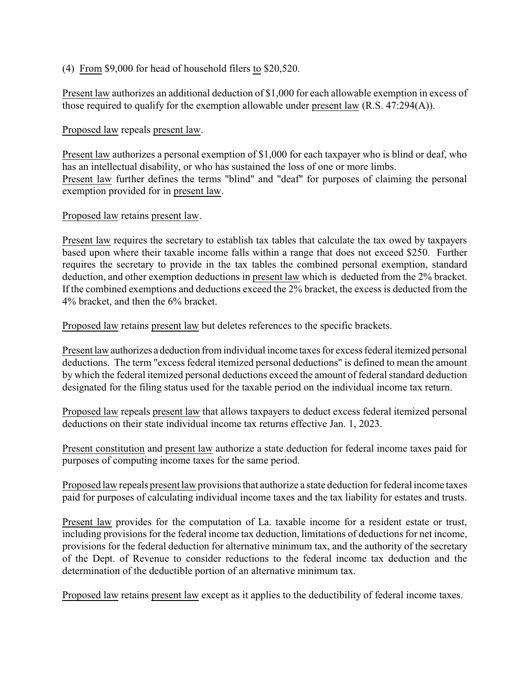#### (4) From \$9,000 for head of household filers to \$20,520.

Present law authorizes an additional deduction of \$1,000 for each allowable exemption in excess of those required to qualify for the exemption allowable under present law (R.S. 47:294(A)).

#### Proposed law repeals present law.

Present law authorizes a personal exemption of \$1,000 for each taxpayer who is blind or deaf, who has an intellectual disability, or who has sustained the loss of one or more limbs. Present law further defines the terms "blind" and "deaf" for purposes of claiming the personal exemption provided for in present law.

#### Proposed law retains present law.

Present law requires the secretary to establish tax tables that calculate the tax owed by taxpayers based upon where their taxable income falls within a range that does not exceed \$250. Further requires the secretary to provide in the tax tables the combined personal exemption, standard deduction, and other exemption deductions in present law which is deducted from the 2% bracket. If the combined exemptions and deductions exceed the 2% bracket, the excess is deducted from the 4% bracket, and then the 6% bracket.

Proposed law retains present law but deletes references to the specific brackets.

Present lawauthorizes a deduction from individual income taxes for excess federal itemized personal deductions. The term "excess federal itemized personal deductions" is defined to mean the amount by which the federal itemized personal deductions exceed the amount of federal standard deduction designated for the filing status used for the taxable period on the individual income tax return.

Proposed law repeals present law that allows taxpayers to deduct excess federal itemized personal deductions on their state individual income tax returns effective Jan. 1, 2023.

Present constitution and present law authorize a state deduction for federal income taxes paid for purposes of computing income taxes for the same period.

Proposed law repeals present law provisions that authorize a state deduction for federal income taxes paid for purposes of calculating individual income taxes and the tax liability for estates and trusts.

Present law provides for the computation of La. taxable income for a resident estate or trust, including provisions for the federal income tax deduction, limitations of deductions for net income, provisions for the federal deduction for alternative minimum tax, and the authority of the secretary of the Dept. of Revenue to consider reductions to the federal income tax deduction and the determination of the deductible portion of an alternative minimum tax.

Proposed law retains present law except as it applies to the deductibility of federal income taxes.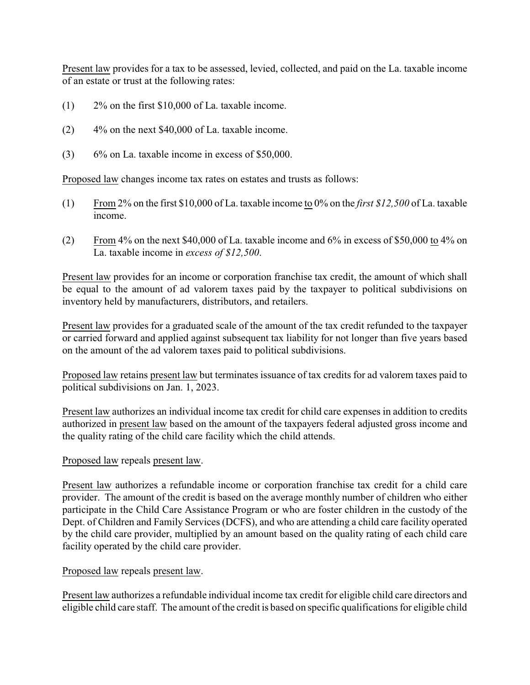Present law provides for a tax to be assessed, levied, collected, and paid on the La. taxable income of an estate or trust at the following rates:

- (1) 2% on the first \$10,000 of La. taxable income.
- $(2)$  4% on the next \$40,000 of La. taxable income.
- (3) 6% on La. taxable income in excess of \$50,000.

Proposed law changes income tax rates on estates and trusts as follows:

- (1) From 2% on the first \$10,000 of La. taxable income to 0% on the *first \$12,500* of La. taxable income.
- (2) From 4% on the next \$40,000 of La. taxable income and 6% in excess of \$50,000 to 4% on La. taxable income in *excess of \$12,500*.

Present law provides for an income or corporation franchise tax credit, the amount of which shall be equal to the amount of ad valorem taxes paid by the taxpayer to political subdivisions on inventory held by manufacturers, distributors, and retailers.

Present law provides for a graduated scale of the amount of the tax credit refunded to the taxpayer or carried forward and applied against subsequent tax liability for not longer than five years based on the amount of the ad valorem taxes paid to political subdivisions.

Proposed law retains present law but terminates issuance of tax credits for ad valorem taxes paid to political subdivisions on Jan. 1, 2023.

Present law authorizes an individual income tax credit for child care expenses in addition to credits authorized in present law based on the amount of the taxpayers federal adjusted gross income and the quality rating of the child care facility which the child attends.

# Proposed law repeals present law.

Present law authorizes a refundable income or corporation franchise tax credit for a child care provider. The amount of the credit is based on the average monthly number of children who either participate in the Child Care Assistance Program or who are foster children in the custody of the Dept. of Children and Family Services (DCFS), and who are attending a child care facility operated by the child care provider, multiplied by an amount based on the quality rating of each child care facility operated by the child care provider.

# Proposed law repeals present law.

Present law authorizes a refundable individual income tax credit for eligible child care directors and eligible child care staff. The amount of the credit is based on specific qualifications for eligible child